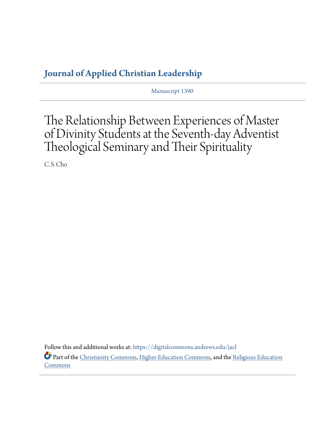## **[Journal of Applied Christian Leadership](https://digitalcommons.andrews.edu/jacl?utm_source=digitalcommons.andrews.edu%2Fjacl%2Fvol1%2Fiss1%2F1&utm_medium=PDF&utm_campaign=PDFCoverPages)**

Manuscript 1390

## The Relationship Between Experiences of Master of Divinity Students at the Seventh-day Adventist Theological Seminary and Their Spirituality

C. S. Cho

Follow this and additional works at: [https://digitalcommons.andrews.edu/jacl](https://digitalcommons.andrews.edu/jacl?utm_source=digitalcommons.andrews.edu%2Fjacl%2Fvol1%2Fiss1%2F1&utm_medium=PDF&utm_campaign=PDFCoverPages) Part of the [Christianity Commons,](http://network.bepress.com/hgg/discipline/1181?utm_source=digitalcommons.andrews.edu%2Fjacl%2Fvol1%2Fiss1%2F1&utm_medium=PDF&utm_campaign=PDFCoverPages) [Higher Education Commons,](http://network.bepress.com/hgg/discipline/1245?utm_source=digitalcommons.andrews.edu%2Fjacl%2Fvol1%2Fiss1%2F1&utm_medium=PDF&utm_campaign=PDFCoverPages) and the [Religious Education](http://network.bepress.com/hgg/discipline/1414?utm_source=digitalcommons.andrews.edu%2Fjacl%2Fvol1%2Fiss1%2F1&utm_medium=PDF&utm_campaign=PDFCoverPages) [Commons](http://network.bepress.com/hgg/discipline/1414?utm_source=digitalcommons.andrews.edu%2Fjacl%2Fvol1%2Fiss1%2F1&utm_medium=PDF&utm_campaign=PDFCoverPages)